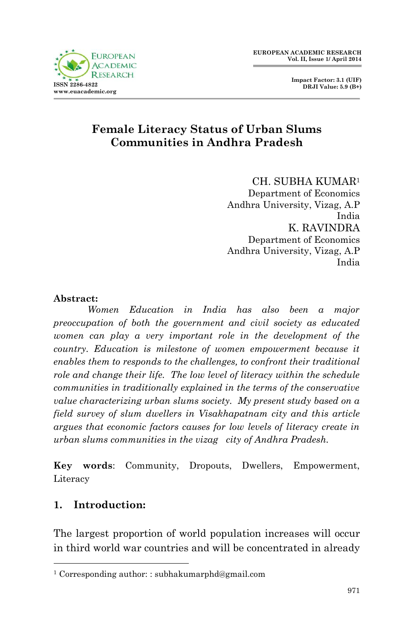



### **Female Literacy Status of Urban Slums Communities in Andhra Pradesh**

CH. SUBHA KUMAR<sup>1</sup> Department of Economics Andhra University, Vizag, A.P India K. RAVINDRA Department of Economics Andhra University, Vizag, A.P India

#### **Abstract:**

*Women Education in India has also been a major preoccupation of both the government and civil society as educated women can play a very important role in the development of the country. Education is milestone of women empowerment because it enables them to responds to the challenges, to confront their traditional role and change their life. The low level of literacy within the schedule communities in traditionally explained in the terms of the conservative value characterizing urban slums society. My present study based on a field survey of slum dwellers in Visakhapatnam city and this article argues that economic factors causes for low levels of literacy create in urban slums communities in the vizag city of Andhra Pradesh.*

**Key words**: Community, Dropouts, Dwellers, Empowerment, Literacy

#### **1. Introduction:**

1

The largest proportion of world population increases will occur in third world war countries and will be concentrated in already

<sup>1</sup> Corresponding author: : subhakumarphd@gmail.com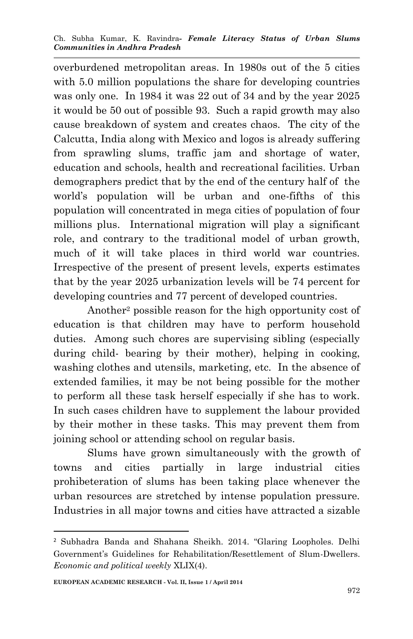overburdened metropolitan areas. In 1980s out of the 5 cities with 5.0 million populations the share for developing countries was only one. In 1984 it was 22 out of 34 and by the year 2025 it would be 50 out of possible 93. Such a rapid growth may also cause breakdown of system and creates chaos. The city of the Calcutta, India along with Mexico and logos is already suffering from sprawling slums, traffic jam and shortage of water, education and schools, health and recreational facilities. Urban demographers predict that by the end of the century half of the world's population will be urban and one-fifths of this population will concentrated in mega cities of population of four millions plus. International migration will play a significant role, and contrary to the traditional model of urban growth, much of it will take places in third world war countries. Irrespective of the present of present levels, experts estimates that by the year 2025 urbanization levels will be 74 percent for developing countries and 77 percent of developed countries.

Another<sup>2</sup> possible reason for the high opportunity cost of education is that children may have to perform household duties. Among such chores are supervising sibling (especially during child- bearing by their mother), helping in cooking, washing clothes and utensils, marketing, etc. In the absence of extended families, it may be not being possible for the mother to perform all these task herself especially if she has to work. In such cases children have to supplement the labour provided by their mother in these tasks. This may prevent them from joining school or attending school on regular basis.

Slums have grown simultaneously with the growth of towns and cities partially in large industrial cities prohibeteration of slums has been taking place whenever the urban resources are stretched by intense population pressure. Industries in all major towns and cities have attracted a sizable

**.** 

<sup>2</sup> Subhadra Banda and Shahana Sheikh. 2014. "Glaring Loopholes. Delhi Government's Guidelines for Rehabilitation/Resettlement of Slum-Dwellers. *Economic and political weekly* XLIX(4).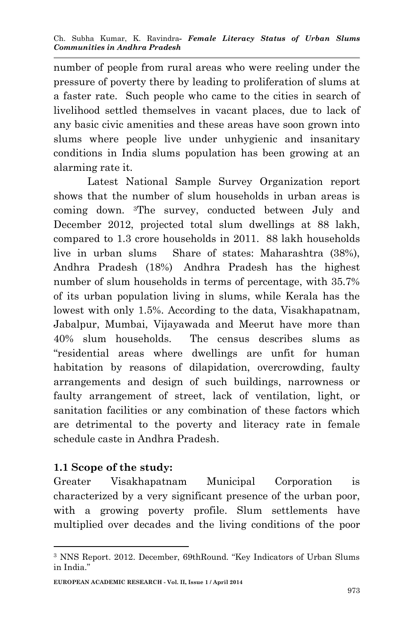number of people from rural areas who were reeling under the pressure of poverty there by leading to proliferation of slums at a faster rate. Such people who came to the cities in search of livelihood settled themselves in vacant places, due to lack of any basic civic amenities and these areas have soon grown into slums where people live under unhygienic and insanitary conditions in India slums population has been growing at an alarming rate it.

Latest National Sample Survey Organization report shows that the number of slum households in urban areas is coming down. 3The survey, conducted between July and December 2012, projected total slum dwellings at 88 lakh, compared to 1.3 crore households in 2011. 88 lakh households live in urban slums Share of states: Maharashtra (38%), Andhra Pradesh (18%) Andhra Pradesh has the highest number of slum households in terms of percentage, with 35.7% of its urban population living in slums, while Kerala has the lowest with only 1.5%. According to the data, Visakhapatnam, Jabalpur, Mumbai, Vijayawada and Meerut have more than 40% slum households. The census describes slums as "residential areas where dwellings are unfit for human habitation by reasons of dilapidation, overcrowding, faulty arrangements and design of such buildings, narrowness or faulty arrangement of street, lack of ventilation, light, or sanitation facilities or any combination of these factors which are detrimental to the poverty and literacy rate in female schedule caste in Andhra Pradesh.

#### **1.1 Scope of the study:**

1

Greater Visakhapatnam Municipal Corporation is characterized by a very significant presence of the urban poor, with a growing poverty profile. Slum settlements have multiplied over decades and the living conditions of the poor

<sup>3</sup> NNS Report. 2012. December, 69thRound. "Key Indicators of Urban Slums in India."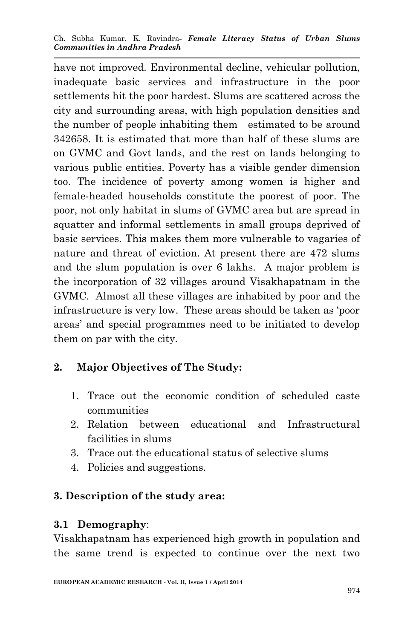have not improved. Environmental decline, vehicular pollution, inadequate basic services and infrastructure in the poor settlements hit the poor hardest. Slums are scattered across the city and surrounding areas, with high population densities and the number of people inhabiting them estimated to be around 342658. It is estimated that more than half of these slums are on GVMC and Govt lands, and the rest on lands belonging to various public entities. Poverty has a visible gender dimension too. The incidence of poverty among women is higher and female-headed households constitute the poorest of poor. The poor, not only habitat in slums of GVMC area but are spread in squatter and informal settlements in small groups deprived of basic services. This makes them more vulnerable to vagaries of nature and threat of eviction. At present there are 472 slums and the slum population is over 6 lakhs. A major problem is the incorporation of 32 villages around Visakhapatnam in the GVMC. Almost all these villages are inhabited by poor and the infrastructure is very low. These areas should be taken as 'poor areas' and special programmes need to be initiated to develop them on par with the city.

# **2. Major Objectives of The Study:**

- 1. Trace out the economic condition of scheduled caste communities
- 2. Relation between educational and Infrastructural facilities in slums
- 3. Trace out the educational status of selective slums
- 4. Policies and suggestions.

# **3. Description of the study area:**

#### **3.1 Demography**:

Visakhapatnam has experienced high growth in population and the same trend is expected to continue over the next two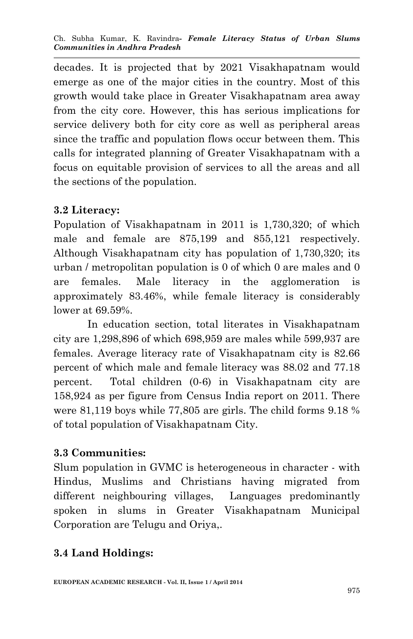decades. It is projected that by 2021 Visakhapatnam would emerge as one of the major cities in the country. Most of this growth would take place in Greater Visakhapatnam area away from the city core. However, this has serious implications for service delivery both for city core as well as peripheral areas since the traffic and population flows occur between them. This calls for integrated planning of Greater Visakhapatnam with a focus on equitable provision of services to all the areas and all the sections of the population.

### **3.2 Literacy:**

Population of Visakhapatnam in 2011 is 1,730,320; of which male and female are 875,199 and 855,121 respectively. Although Visakhapatnam city has population of 1,730,320; its urban / metropolitan population is 0 of which 0 are males and 0 are females. Male literacy in the agglomeration is approximately 83.46%, while female literacy is considerably lower at 69.59%.

In education section, total literates in Visakhapatnam city are 1,298,896 of which 698,959 are males while 599,937 are females. Average literacy rate of Visakhapatnam city is 82.66 percent of which male and female literacy was 88.02 and 77.18 percent. Total children (0-6) in Visakhapatnam city are 158,924 as per figure from Census India report on 2011. There were 81,119 boys while 77,805 are girls. The child forms 9.18 % of total population of Visakhapatnam City.

#### **3.3 Communities:**

Slum population in GVMC is heterogeneous in character - with Hindus, Muslims and Christians having migrated from different neighbouring villages, Languages predominantly spoken in slums in Greater Visakhapatnam Municipal Corporation are Telugu and Oriya,.

# **3.4 Land Holdings:**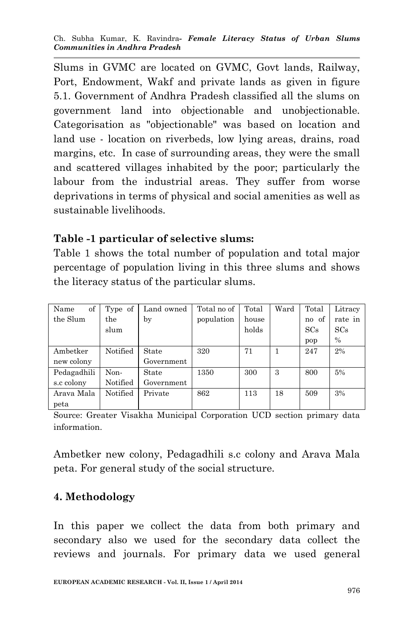Slums in GVMC are located on GVMC, Govt lands, Railway, Port, Endowment, Wakf and private lands as given in figure 5.1. Government of Andhra Pradesh classified all the slums on government land into objectionable and unobjectionable. Categorisation as "objectionable" was based on location and land use - location on riverbeds, low lying areas, drains, road margins, etc. In case of surrounding areas, they were the small and scattered villages inhabited by the poor; particularly the labour from the industrial areas. They suffer from worse deprivations in terms of physical and social amenities as well as sustainable livelihoods.

#### **Table -1 particular of selective slums:**

Table 1 shows the total number of population and total major percentage of population living in this three slums and shows the literacy status of the particular slums.

| of<br>Name  | Type of  | Land owned | Total no of | Total | Ward | Total | Litracy |
|-------------|----------|------------|-------------|-------|------|-------|---------|
|             |          |            |             |       |      |       |         |
| the Slum    | the      | by         | population  | house |      | no of | rate in |
|             | slum     |            |             | holds |      | SCs   | SCs     |
|             |          |            |             |       |      | pop   | $\%$    |
| Ambetker    | Notified | State      | 320         | 71    |      | 247   | 2%      |
| new colony  |          | Government |             |       |      |       |         |
| Pedagadhili | Non-     | State      | 1350        | 300   | 3    | 800   | 5%      |
| s.c colony  | Notified | Government |             |       |      |       |         |
| Arava Mala  | Notified | Private    | 862         | 113   | 18   | 509   | 3%      |
| peta        |          |            |             |       |      |       |         |

Source: Greater Visakha Municipal Corporation UCD section primary data information.

Ambetker new colony, Pedagadhili s.c colony and Arava Mala peta. For general study of the social structure.

#### **4. Methodology**

In this paper we collect the data from both primary and secondary also we used for the secondary data collect the reviews and journals. For primary data we used general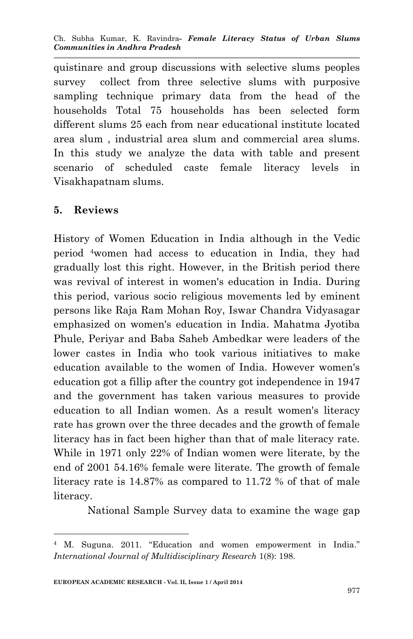quistinare and group discussions with selective slums peoples survey collect from three selective slums with purposive sampling technique primary data from the head of the households Total 75 households has been selected form different slums 25 each from near educational institute located area slum , industrial area slum and commercial area slums. In this study we analyze the data with table and present scenario of scheduled caste female literacy levels in Visakhapatnam slums.

#### **5. Reviews**

**.** 

History of Women Education in India although in the Vedic period 4women had access to education in India, they had gradually lost this right. However, in the British period there was revival of interest in women's education in India. During this period, various socio religious movements led by eminent persons like Raja Ram Mohan Roy, Iswar Chandra Vidyasagar emphasized on women's education in India. Mahatma Jyotiba Phule, Periyar and Baba Saheb Ambedkar were leaders of the lower castes in India who took various initiatives to make education available to the women of India. However women's education got a fillip after the country got independence in 1947 and the government has taken various measures to provide education to all Indian women. As a result women's literacy rate has grown over the three decades and the growth of female literacy has in fact been higher than that of male literacy rate. While in 1971 only 22% of Indian women were literate, by the end of 2001 54.16% female were literate. The growth of female literacy rate is 14.87% as compared to 11.72 % of that of male literacy.

National Sample Survey data to examine the wage gap

<sup>4</sup> M. Suguna. 2011. "Education and women empowerment in India." *International Journal of Multidisciplinary Research* 1(8): 198.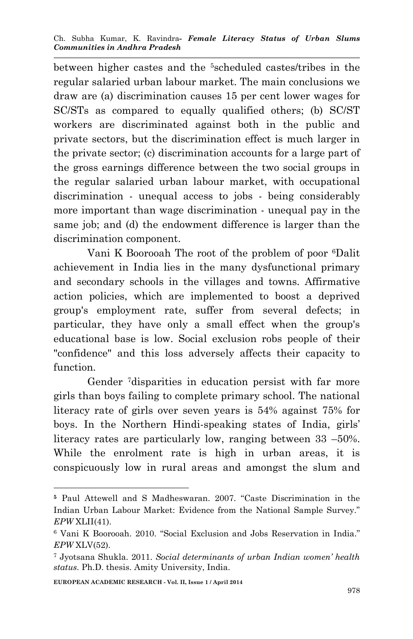between higher castes and the 5scheduled castes/tribes in the regular salaried urban labour market. The main conclusions we draw are (a) discrimination causes 15 per cent lower wages for SC/STs as compared to equally qualified others; (b) SC/ST workers are discriminated against both in the public and private sectors, but the discrimination effect is much larger in the private sector; (c) discrimination accounts for a large part of the gross earnings difference between the two social groups in the regular salaried urban labour market, with occupational discrimination - unequal access to jobs - being considerably more important than wage discrimination - unequal pay in the same job; and (d) the endowment difference is larger than the discrimination component.

Vani K Boorooah The root of the problem of poor 6Dalit achievement in India lies in the many dysfunctional primary and secondary schools in the villages and towns. Affirmative action policies, which are implemented to boost a deprived group's employment rate, suffer from several defects; in particular, they have only a small effect when the group's educational base is low. Social exclusion robs people of their "confidence" and this loss adversely affects their capacity to function.

Gender 7disparities in education persist with far more girls than boys failing to complete primary school. The national literacy rate of girls over seven years is 54% against 75% for boys. In the Northern Hindi-speaking states of India, girls' literacy rates are particularly low, ranging between 33 –50%. While the enrolment rate is high in urban areas, it is conspicuously low in rural areas and amongst the slum and

1

**<sup>5</sup>** Paul Attewell and S Madheswaran. 2007. "Caste Discrimination in the Indian Urban Labour Market: Evidence from the National Sample Survey." *EPW* XLII(41).

<sup>6</sup> Vani K Boorooah. 2010. "Social Exclusion and Jobs Reservation in India." *EPW* XLV(52).

<sup>7</sup> Jyotsana Shukla. 2011. *Social determinants of urban Indian women' health status.* Ph.D. thesis. Amity University, India.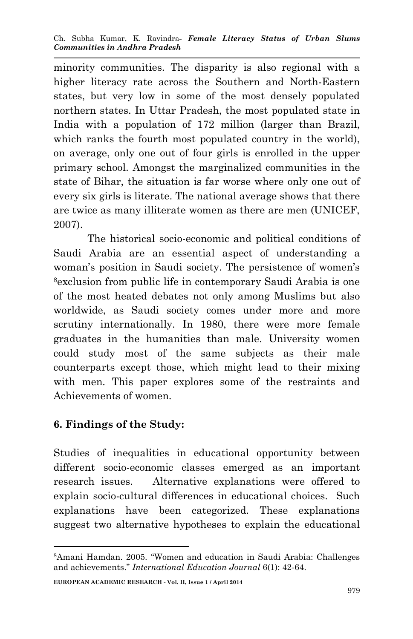minority communities. The disparity is also regional with a higher literacy rate across the Southern and North-Eastern states, but very low in some of the most densely populated northern states. In Uttar Pradesh, the most populated state in India with a population of 172 million (larger than Brazil, which ranks the fourth most populated country in the world), on average, only one out of four girls is enrolled in the upper primary school. Amongst the marginalized communities in the state of Bihar, the situation is far worse where only one out of every six girls is literate. The national average shows that there are twice as many illiterate women as there are men (UNICEF, 2007).

The historical socio-economic and political conditions of Saudi Arabia are an essential aspect of understanding a woman's position in Saudi society. The persistence of women's <sup>8</sup>exclusion from public life in contemporary Saudi Arabia is one of the most heated debates not only among Muslims but also worldwide, as Saudi society comes under more and more scrutiny internationally. In 1980, there were more female graduates in the humanities than male. University women could study most of the same subjects as their male counterparts except those, which might lead to their mixing with men. This paper explores some of the restraints and Achievements of women.

# **6. Findings of the Study:**

Studies of inequalities in educational opportunity between different socio-economic classes emerged as an important research issues. Alternative explanations were offered to explain socio-cultural differences in educational choices. Such explanations have been categorized. These explanations suggest two alternative hypotheses to explain the educational

<sup>1</sup> <sup>8</sup>Amani Hamdan. 2005. "Women and education in Saudi Arabia: Challenges and achievements." *International Education Journal* 6(1): 42-64.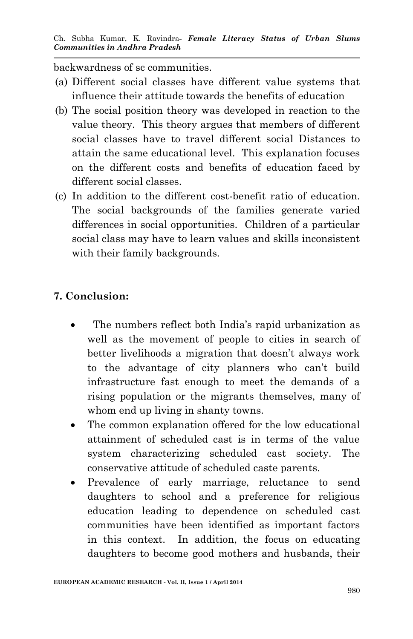backwardness of sc communities.

- (a) Different social classes have different value systems that influence their attitude towards the benefits of education
- (b) The social position theory was developed in reaction to the value theory. This theory argues that members of different social classes have to travel different social Distances to attain the same educational level. This explanation focuses on the different costs and benefits of education faced by different social classes.
- (c) In addition to the different cost-benefit ratio of education. The social backgrounds of the families generate varied differences in social opportunities. Children of a particular social class may have to learn values and skills inconsistent with their family backgrounds.

### **7. Conclusion:**

- The numbers reflect both India's rapid urbanization as well as the movement of people to cities in search of better livelihoods a migration that doesn't always work to the advantage of city planners who can't build infrastructure fast enough to meet the demands of a rising population or the migrants themselves, many of whom end up living in shanty towns.
- The common explanation offered for the low educational attainment of scheduled cast is in terms of the value system characterizing scheduled cast society. The conservative attitude of scheduled caste parents.
- Prevalence of early marriage, reluctance to send daughters to school and a preference for religious education leading to dependence on scheduled cast communities have been identified as important factors in this context. In addition, the focus on educating daughters to become good mothers and husbands, their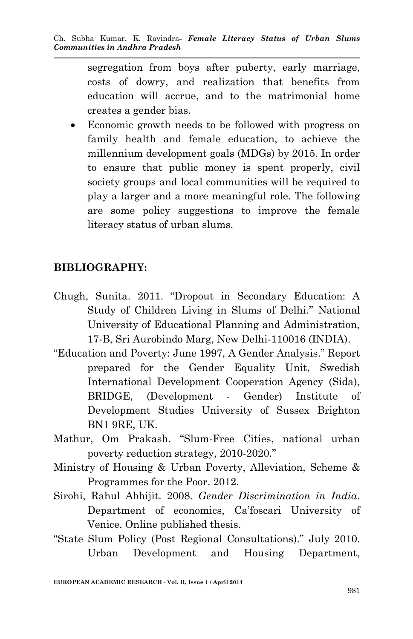segregation from boys after puberty, early marriage, costs of dowry, and realization that benefits from education will accrue, and to the matrimonial home creates a gender bias.

 Economic growth needs to be followed with progress on family health and female education, to achieve the millennium development goals (MDGs) by 2015. In order to ensure that public money is spent properly, civil society groups and local communities will be required to play a larger and a more meaningful role. The following are some policy suggestions to improve the female literacy status of urban slums.

#### **BIBLIOGRAPHY:**

- Chugh, Sunita. 2011. "Dropout in Secondary Education: A Study of Children Living in Slums of Delhi." National University of Educational Planning and Administration, 17-B, Sri Aurobindo Marg, New Delhi-110016 (INDIA).
- "Education and Poverty: June 1997, A Gender Analysis." Report prepared for the Gender Equality Unit, Swedish International Development Cooperation Agency (Sida), BRIDGE, (Development - Gender) Institute of Development Studies University of Sussex Brighton BN1 9RE, UK.
- Mathur, Om Prakash. "Slum-Free Cities, national urban poverty reduction strategy, 2010-2020."
- Ministry of Housing & Urban Poverty, Alleviation, Scheme & Programmes for the Poor. 2012.
- Sirohi, Rahul Abhijit. 2008. *Gender Discrimination in India*. Department of economics, Ca'foscari University of Venice. Online published thesis.
- "State Slum Policy (Post Regional Consultations)." July 2010. Urban Development and Housing Department,